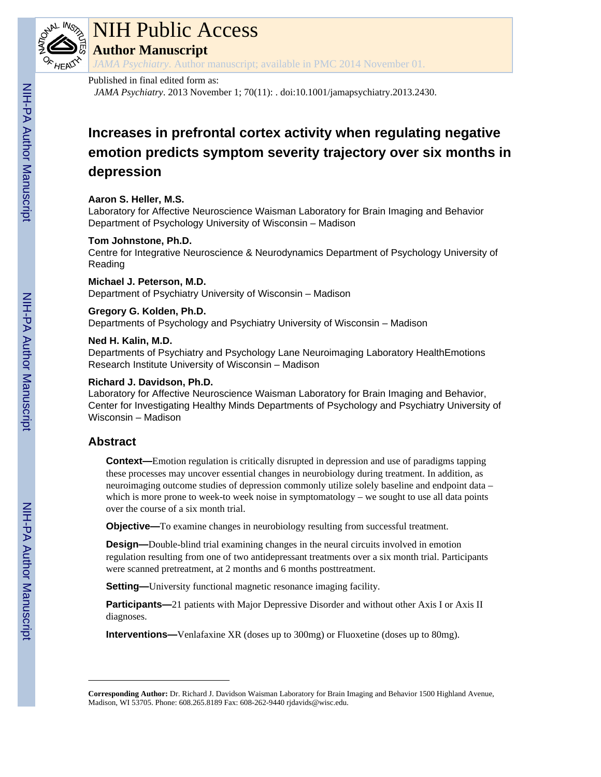

# NIH Public Access

**Author Manuscript**

*JAMA Psychiatry*. Author manuscript; available in PMC 2014 November 01.

## Published in final edited form as:

*JAMA Psychiatry*. 2013 November 1; 70(11): . doi:10.1001/jamapsychiatry.2013.2430.

## **Increases in prefrontal cortex activity when regulating negative emotion predicts symptom severity trajectory over six months in depression**

## **Aaron S. Heller, M.S.**

Laboratory for Affective Neuroscience Waisman Laboratory for Brain Imaging and Behavior Department of Psychology University of Wisconsin – Madison

## **Tom Johnstone, Ph.D.**

Centre for Integrative Neuroscience & Neurodynamics Department of Psychology University of Reading

## **Michael J. Peterson, M.D.**

Department of Psychiatry University of Wisconsin – Madison

## **Gregory G. Kolden, Ph.D.**

Departments of Psychology and Psychiatry University of Wisconsin – Madison

## **Ned H. Kalin, M.D.**

Departments of Psychiatry and Psychology Lane Neuroimaging Laboratory HealthEmotions Research Institute University of Wisconsin – Madison

## **Richard J. Davidson, Ph.D.**

Laboratory for Affective Neuroscience Waisman Laboratory for Brain Imaging and Behavior, Center for Investigating Healthy Minds Departments of Psychology and Psychiatry University of Wisconsin – Madison

## **Abstract**

**Context—**Emotion regulation is critically disrupted in depression and use of paradigms tapping these processes may uncover essential changes in neurobiology during treatment. In addition, as neuroimaging outcome studies of depression commonly utilize solely baseline and endpoint data – which is more prone to week-to week noise in symptomatology – we sought to use all data points over the course of a six month trial.

**Objective—**To examine changes in neurobiology resulting from successful treatment.

**Design—**Double-blind trial examining changes in the neural circuits involved in emotion regulation resulting from one of two antidepressant treatments over a six month trial. Participants were scanned pretreatment, at 2 months and 6 months posttreatment.

**Setting—**University functional magnetic resonance imaging facility.

**Participants—21** patients with Major Depressive Disorder and without other Axis I or Axis II diagnoses.

**Interventions—**Venlafaxine XR (doses up to 300mg) or Fluoxetine (doses up to 80mg).

**Corresponding Author:** Dr. Richard J. Davidson Waisman Laboratory for Brain Imaging and Behavior 1500 Highland Avenue, Madison, WI 53705. Phone: 608.265.8189 Fax: 608-262-9440 rjdavids@wisc.edu.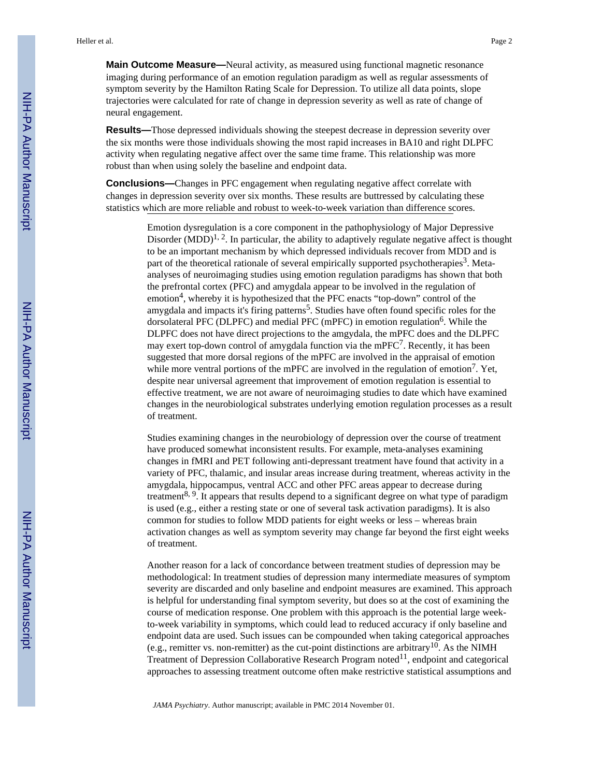**Main Outcome Measure—**Neural activity, as measured using functional magnetic resonance imaging during performance of an emotion regulation paradigm as well as regular assessments of symptom severity by the Hamilton Rating Scale for Depression. To utilize all data points, slope trajectories were calculated for rate of change in depression severity as well as rate of change of neural engagement.

**Results—**Those depressed individuals showing the steepest decrease in depression severity over the six months were those individuals showing the most rapid increases in BA10 and right DLPFC activity when regulating negative affect over the same time frame. This relationship was more robust than when using solely the baseline and endpoint data.

**Conclusions—**Changes in PFC engagement when regulating negative affect correlate with changes in depression severity over six months. These results are buttressed by calculating these statistics which are more reliable and robust to week-to-week variation than difference scores.

> Emotion dysregulation is a core component in the pathophysiology of Major Depressive Disorder  $(MDD)^{1,2}$ . In particular, the ability to adaptively regulate negative affect is thought to be an important mechanism by which depressed individuals recover from MDD and is part of the theoretical rationale of several empirically supported psychotherapies<sup>3</sup>. Metaanalyses of neuroimaging studies using emotion regulation paradigms has shown that both the prefrontal cortex (PFC) and amygdala appear to be involved in the regulation of emotion<sup>4</sup>, whereby it is hypothesized that the PFC enacts "top-down" control of the amygdala and impacts it's firing patterns<sup>5</sup>. Studies have often found specific roles for the dorsolateral PFC (DLPFC) and medial PFC (mPFC) in emotion regulation<sup>6</sup>. While the DLPFC does not have direct projections to the amgydala, the mPFC does and the DLPFC may exert top-down control of amygdala function via the mPFC<sup>7</sup>. Recently, it has been suggested that more dorsal regions of the mPFC are involved in the appraisal of emotion while more ventral portions of the mPFC are involved in the regulation of emotion<sup>7</sup>. Yet, despite near universal agreement that improvement of emotion regulation is essential to effective treatment, we are not aware of neuroimaging studies to date which have examined changes in the neurobiological substrates underlying emotion regulation processes as a result of treatment.

> Studies examining changes in the neurobiology of depression over the course of treatment have produced somewhat inconsistent results. For example, meta-analyses examining changes in fMRI and PET following anti-depressant treatment have found that activity in a variety of PFC, thalamic, and insular areas increase during treatment, whereas activity in the amygdala, hippocampus, ventral ACC and other PFC areas appear to decrease during treatment<sup>8, 9</sup>. It appears that results depend to a significant degree on what type of paradigm is used (e.g., either a resting state or one of several task activation paradigms). It is also common for studies to follow MDD patients for eight weeks or less – whereas brain activation changes as well as symptom severity may change far beyond the first eight weeks of treatment.

> Another reason for a lack of concordance between treatment studies of depression may be methodological: In treatment studies of depression many intermediate measures of symptom severity are discarded and only baseline and endpoint measures are examined. This approach is helpful for understanding final symptom severity, but does so at the cost of examining the course of medication response. One problem with this approach is the potential large weekto-week variability in symptoms, which could lead to reduced accuracy if only baseline and endpoint data are used. Such issues can be compounded when taking categorical approaches (e.g., remitter vs. non-remitter) as the cut-point distinctions are arbitrary<sup>10</sup>. As the NIMH Treatment of Depression Collaborative Research Program noted<sup>11</sup>, endpoint and categorical approaches to assessing treatment outcome often make restrictive statistical assumptions and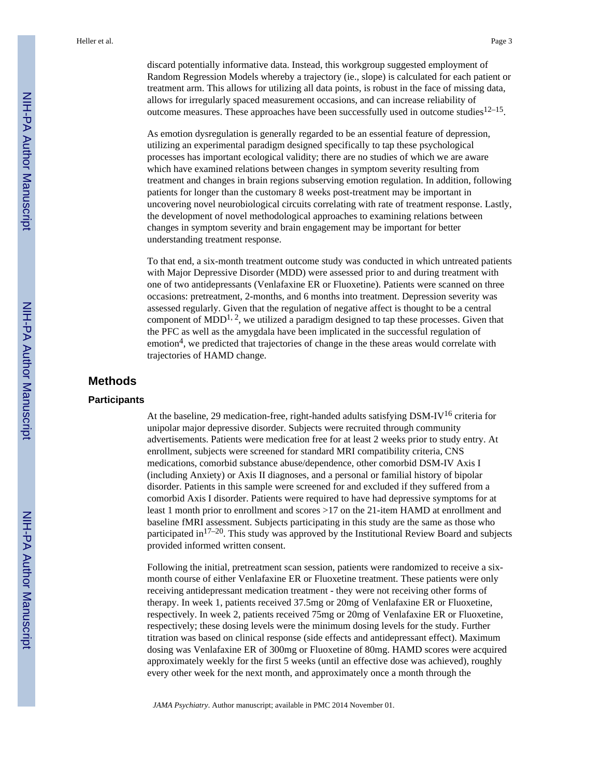discard potentially informative data. Instead, this workgroup suggested employment of Random Regression Models whereby a trajectory (ie., slope) is calculated for each patient or treatment arm. This allows for utilizing all data points, is robust in the face of missing data, allows for irregularly spaced measurement occasions, and can increase reliability of outcome measures. These approaches have been successfully used in outcome studies  $12-15$ .

As emotion dysregulation is generally regarded to be an essential feature of depression, utilizing an experimental paradigm designed specifically to tap these psychological processes has important ecological validity; there are no studies of which we are aware which have examined relations between changes in symptom severity resulting from treatment and changes in brain regions subserving emotion regulation. In addition, following patients for longer than the customary 8 weeks post-treatment may be important in uncovering novel neurobiological circuits correlating with rate of treatment response. Lastly, the development of novel methodological approaches to examining relations between changes in symptom severity and brain engagement may be important for better understanding treatment response.

To that end, a six-month treatment outcome study was conducted in which untreated patients with Major Depressive Disorder (MDD) were assessed prior to and during treatment with one of two antidepressants (Venlafaxine ER or Fluoxetine). Patients were scanned on three occasions: pretreatment, 2-months, and 6 months into treatment. Depression severity was assessed regularly. Given that the regulation of negative affect is thought to be a central component of  $MDD<sup>1, 2</sup>$ , we utilized a paradigm designed to tap these processes. Given that the PFC as well as the amygdala have been implicated in the successful regulation of emotion<sup>4</sup>, we predicted that trajectories of change in the these areas would correlate with trajectories of HAMD change.

## **Methods**

#### **Participants**

At the baseline, 29 medication-free, right-handed adults satisfying  $DSM-IV^{16}$  criteria for unipolar major depressive disorder. Subjects were recruited through community advertisements. Patients were medication free for at least 2 weeks prior to study entry. At enrollment, subjects were screened for standard MRI compatibility criteria, CNS medications, comorbid substance abuse/dependence, other comorbid DSM-IV Axis I (including Anxiety) or Axis II diagnoses, and a personal or familial history of bipolar disorder. Patients in this sample were screened for and excluded if they suffered from a comorbid Axis I disorder. Patients were required to have had depressive symptoms for at least 1 month prior to enrollment and scores >17 on the 21-item HAMD at enrollment and baseline fMRI assessment. Subjects participating in this study are the same as those who participated in $17-20$ . This study was approved by the Institutional Review Board and subjects provided informed written consent.

Following the initial, pretreatment scan session, patients were randomized to receive a sixmonth course of either Venlafaxine ER or Fluoxetine treatment. These patients were only receiving antidepressant medication treatment - they were not receiving other forms of therapy. In week 1, patients received 37.5mg or 20mg of Venlafaxine ER or Fluoxetine, respectively. In week 2, patients received 75mg or 20mg of Venlafaxine ER or Fluoxetine, respectively; these dosing levels were the minimum dosing levels for the study. Further titration was based on clinical response (side effects and antidepressant effect). Maximum dosing was Venlafaxine ER of 300mg or Fluoxetine of 80mg. HAMD scores were acquired approximately weekly for the first 5 weeks (until an effective dose was achieved), roughly every other week for the next month, and approximately once a month through the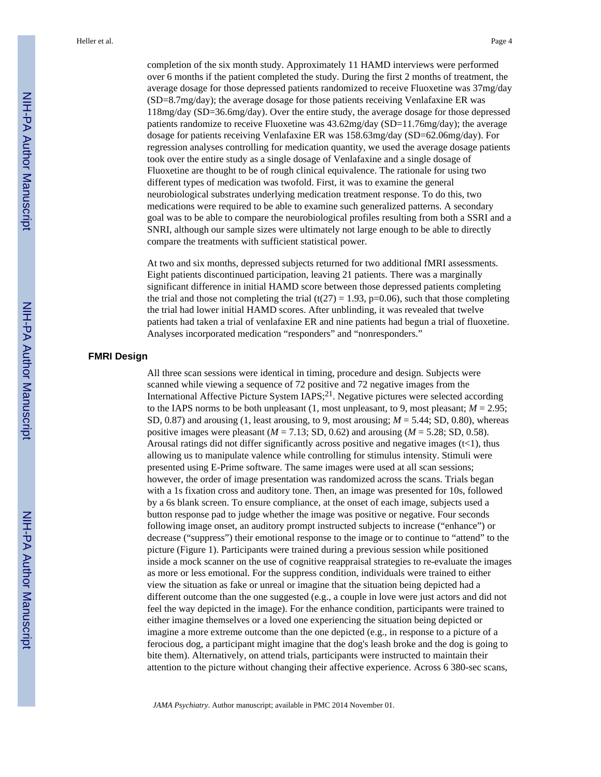completion of the six month study. Approximately 11 HAMD interviews were performed over 6 months if the patient completed the study. During the first 2 months of treatment, the average dosage for those depressed patients randomized to receive Fluoxetine was 37mg/day (SD=8.7mg/day); the average dosage for those patients receiving Venlafaxine ER was 118mg/day (SD=36.6mg/day). Over the entire study, the average dosage for those depressed patients randomize to receive Fluoxetine was 43.62mg/day (SD=11.76mg/day); the average dosage for patients receiving Venlafaxine ER was 158.63mg/day (SD=62.06mg/day). For regression analyses controlling for medication quantity, we used the average dosage patients took over the entire study as a single dosage of Venlafaxine and a single dosage of Fluoxetine are thought to be of rough clinical equivalence. The rationale for using two different types of medication was twofold. First, it was to examine the general neurobiological substrates underlying medication treatment response. To do this, two medications were required to be able to examine such generalized patterns. A secondary goal was to be able to compare the neurobiological profiles resulting from both a SSRI and a SNRI, although our sample sizes were ultimately not large enough to be able to directly compare the treatments with sufficient statistical power.

At two and six months, depressed subjects returned for two additional fMRI assessments. Eight patients discontinued participation, leaving 21 patients. There was a marginally significant difference in initial HAMD score between those depressed patients completing the trial and those not completing the trial (t(27) = 1.93, p=0.06), such that those completing the trial had lower initial HAMD scores. After unblinding, it was revealed that twelve patients had taken a trial of venlafaxine ER and nine patients had begun a trial of fluoxetine. Analyses incorporated medication "responders" and "nonresponders."

## **FMRI Design**

All three scan sessions were identical in timing, procedure and design. Subjects were scanned while viewing a sequence of 72 positive and 72 negative images from the International Affective Picture System IAPS; $^{21}$ . Negative pictures were selected according to the IAPS norms to be both unpleasant  $(1, \text{most unpleasant}, \text{to 9}, \text{most pleasant}; M = 2.95;$ SD, 0.87) and arousing (1, least arousing, to 9, most arousing; *M* = 5.44; SD, 0.80), whereas positive images were pleasant  $(M = 7.13; SD, 0.62)$  and arousing  $(M = 5.28; SD, 0.58)$ . Arousal ratings did not differ significantly across positive and negative images  $(t<1)$ , thus allowing us to manipulate valence while controlling for stimulus intensity. Stimuli were presented using E-Prime software. The same images were used at all scan sessions; however, the order of image presentation was randomized across the scans. Trials began with a 1s fixation cross and auditory tone. Then, an image was presented for 10s, followed by a 6s blank screen. To ensure compliance, at the onset of each image, subjects used a button response pad to judge whether the image was positive or negative. Four seconds following image onset, an auditory prompt instructed subjects to increase ("enhance") or decrease ("suppress") their emotional response to the image or to continue to "attend" to the picture (Figure 1). Participants were trained during a previous session while positioned inside a mock scanner on the use of cognitive reappraisal strategies to re-evaluate the images as more or less emotional. For the suppress condition, individuals were trained to either view the situation as fake or unreal or imagine that the situation being depicted had a different outcome than the one suggested (e.g., a couple in love were just actors and did not feel the way depicted in the image). For the enhance condition, participants were trained to either imagine themselves or a loved one experiencing the situation being depicted or imagine a more extreme outcome than the one depicted (e.g., in response to a picture of a ferocious dog, a participant might imagine that the dog's leash broke and the dog is going to bite them). Alternatively, on attend trials, participants were instructed to maintain their attention to the picture without changing their affective experience. Across 6 380-sec scans,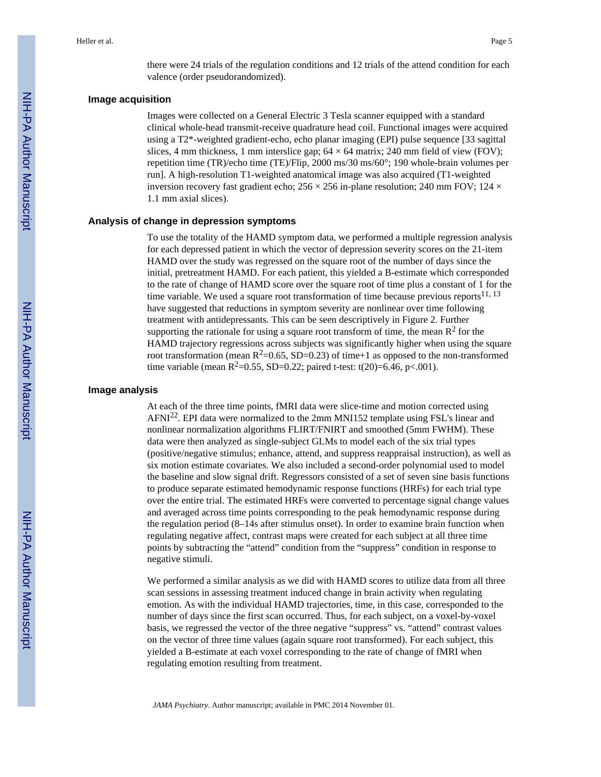there were 24 trials of the regulation conditions and 12 trials of the attend condition for each valence (order pseudorandomized).

#### **Image acquisition**

Images were collected on a General Electric 3 Tesla scanner equipped with a standard clinical whole-head transmit-receive quadrature head coil. Functional images were acquired using a T2\*-weighted gradient-echo, echo planar imaging (EPI) pulse sequence [33 sagittal slices, 4 mm thickness, 1 mm interslice gap;  $64 \times 64$  matrix; 240 mm field of view (FOV); repetition time (TR)/echo time (TE)/Flip, 2000 ms/30 ms/60°; 190 whole-brain volumes per run]. A high-resolution T1-weighted anatomical image was also acquired (T1-weighted inversion recovery fast gradient echo;  $256 \times 256$  in-plane resolution; 240 mm FOV;  $124 \times$ 1.1 mm axial slices).

#### **Analysis of change in depression symptoms**

To use the totality of the HAMD symptom data, we performed a multiple regression analysis for each depressed patient in which the vector of depression severity scores on the 21-item HAMD over the study was regressed on the square root of the number of days since the initial, pretreatment HAMD. For each patient, this yielded a B-estimate which corresponded to the rate of change of HAMD score over the square root of time plus a constant of 1 for the time variable. We used a square root transformation of time because previous reports<sup>11, 13</sup> have suggested that reductions in symptom severity are nonlinear over time following treatment with antidepressants. This can be seen descriptively in Figure 2. Further supporting the rationale for using a square root transform of time, the mean  $\mathbb{R}^2$  for the HAMD trajectory regressions across subjects was significantly higher when using the square root transformation (mean  $R^2$ =0.65, SD=0.23) of time+1 as opposed to the non-transformed time variable (mean  $R^2$ =0.55, SD=0.22; paired t-test: t(20)=6.46, p<.001).

#### **Image analysis**

At each of the three time points, fMRI data were slice-time and motion corrected using AFNI<sup>22</sup>. EPI data were normalized to the 2mm MNI152 template using FSL's linear and nonlinear normalization algorithms FLIRT/FNIRT and smoothed (5mm FWHM). These data were then analyzed as single-subject GLMs to model each of the six trial types (positive/negative stimulus; enhance, attend, and suppress reappraisal instruction), as well as six motion estimate covariates. We also included a second-order polynomial used to model the baseline and slow signal drift. Regressors consisted of a set of seven sine basis functions to produce separate estimated hemodynamic response functions (HRFs) for each trial type over the entire trial. The estimated HRFs were converted to percentage signal change values and averaged across time points corresponding to the peak hemodynamic response during the regulation period (8–14s after stimulus onset). In order to examine brain function when regulating negative affect, contrast maps were created for each subject at all three time points by subtracting the "attend" condition from the "suppress" condition in response to negative stimuli.

We performed a similar analysis as we did with HAMD scores to utilize data from all three scan sessions in assessing treatment induced change in brain activity when regulating emotion. As with the individual HAMD trajectories, time, in this case, corresponded to the number of days since the first scan occurred. Thus, for each subject, on a voxel-by-voxel basis, we regressed the vector of the three negative "suppress" vs. "attend" contrast values on the vector of three time values (again square root transformed). For each subject, this yielded a B-estimate at each voxel corresponding to the rate of change of fMRI when regulating emotion resulting from treatment.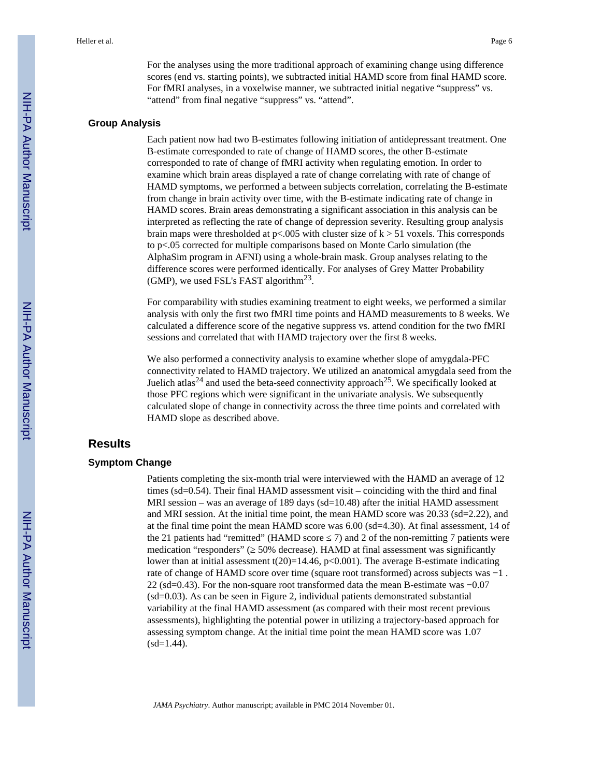For the analyses using the more traditional approach of examining change using difference scores (end vs. starting points), we subtracted initial HAMD score from final HAMD score. For fMRI analyses, in a voxelwise manner, we subtracted initial negative "suppress" vs. "attend" from final negative "suppress" vs. "attend".

#### **Group Analysis**

Each patient now had two B-estimates following initiation of antidepressant treatment. One B-estimate corresponded to rate of change of HAMD scores, the other B-estimate corresponded to rate of change of fMRI activity when regulating emotion. In order to examine which brain areas displayed a rate of change correlating with rate of change of HAMD symptoms, we performed a between subjects correlation, correlating the B-estimate from change in brain activity over time, with the B-estimate indicating rate of change in HAMD scores. Brain areas demonstrating a significant association in this analysis can be interpreted as reflecting the rate of change of depression severity. Resulting group analysis brain maps were thresholded at  $p<0.005$  with cluster size of  $k > 51$  voxels. This corresponds to p<.05 corrected for multiple comparisons based on Monte Carlo simulation (the AlphaSim program in AFNI) using a whole-brain mask. Group analyses relating to the difference scores were performed identically. For analyses of Grey Matter Probability (GMP), we used FSL's FAST algorithm<sup>23</sup>.

For comparability with studies examining treatment to eight weeks, we performed a similar analysis with only the first two fMRI time points and HAMD measurements to 8 weeks. We calculated a difference score of the negative suppress vs. attend condition for the two fMRI sessions and correlated that with HAMD trajectory over the first 8 weeks.

We also performed a connectivity analysis to examine whether slope of amygdala-PFC connectivity related to HAMD trajectory. We utilized an anatomical amygdala seed from the Juelich atlas<sup>24</sup> and used the beta-seed connectivity approach<sup>25</sup>. We specifically looked at those PFC regions which were significant in the univariate analysis. We subsequently calculated slope of change in connectivity across the three time points and correlated with HAMD slope as described above.

## **Results**

#### **Symptom Change**

Patients completing the six-month trial were interviewed with the HAMD an average of 12 times (sd=0.54). Their final HAMD assessment visit – coinciding with the third and final MRI session – was an average of 189 days (sd=10.48) after the initial HAMD assessment and MRI session. At the initial time point, the mean HAMD score was 20.33 (sd=2.22), and at the final time point the mean HAMD score was 6.00 (sd=4.30). At final assessment, 14 of the 21 patients had "remitted" (HAMD score  $\sim$  7) and 2 of the non-remitting 7 patients were medication "responders" ( 50% decrease). HAMD at final assessment was significantly lower than at initial assessment  $t(20)=14.46$ , p<0.001). The average B-estimate indicating rate of change of HAMD score over time (square root transformed) across subjects was −1 . 22 (sd=0.43). For the non-square root transformed data the mean B-estimate was −0.07 (sd=0.03). As can be seen in Figure 2, individual patients demonstrated substantial variability at the final HAMD assessment (as compared with their most recent previous assessments), highlighting the potential power in utilizing a trajectory-based approach for assessing symptom change. At the initial time point the mean HAMD score was 1.07  $(sd=1.44)$ .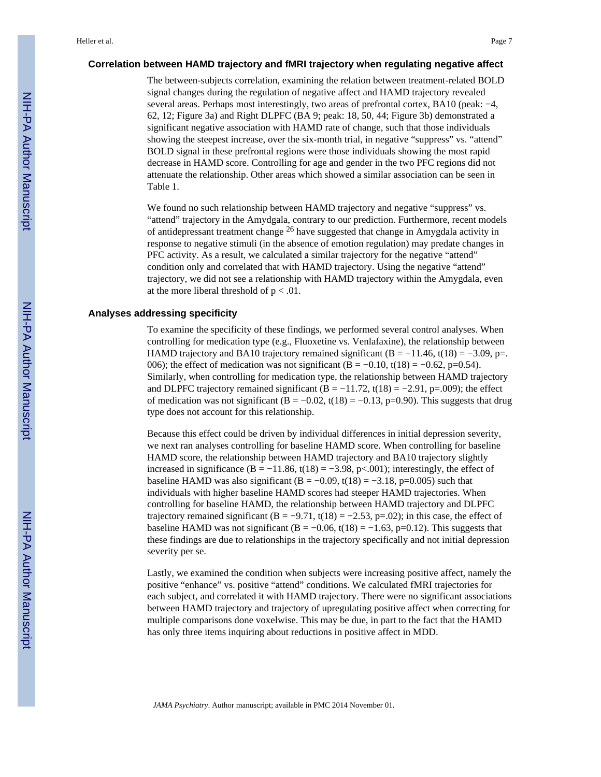#### **Correlation between HAMD trajectory and fMRI trajectory when regulating negative affect**

The between-subjects correlation, examining the relation between treatment-related BOLD signal changes during the regulation of negative affect and HAMD trajectory revealed several areas. Perhaps most interestingly, two areas of prefrontal cortex, BA10 (peak: −4, 62, 12; Figure 3a) and Right DLPFC (BA 9; peak: 18, 50, 44; Figure 3b) demonstrated a significant negative association with HAMD rate of change, such that those individuals showing the steepest increase, over the six-month trial, in negative "suppress" vs. "attend" BOLD signal in these prefrontal regions were those individuals showing the most rapid decrease in HAMD score. Controlling for age and gender in the two PFC regions did not attenuate the relationship. Other areas which showed a similar association can be seen in Table 1.

We found no such relationship between HAMD trajectory and negative "suppress" vs. "attend" trajectory in the Amydgala, contrary to our prediction. Furthermore, recent models of antidepressant treatment change 26 have suggested that change in Amygdala activity in response to negative stimuli (in the absence of emotion regulation) may predate changes in PFC activity. As a result, we calculated a similar trajectory for the negative "attend" condition only and correlated that with HAMD trajectory. Using the negative "attend" trajectory, we did not see a relationship with HAMD trajectory within the Amygdala, even at the more liberal threshold of  $p < .01$ .

#### **Analyses addressing specificity**

To examine the specificity of these findings, we performed several control analyses. When controlling for medication type (e.g., Fluoxetine vs. Venlafaxine), the relationship between HAMD trajectory and BA10 trajectory remained significant (B =  $-11.46$ , t(18) =  $-3.09$ , p=. 006); the effect of medication was not significant (B =  $-0.10$ , t(18) =  $-0.62$ , p=0.54). Similarly, when controlling for medication type, the relationship between HAMD trajectory and DLPFC trajectory remained significant (B = −11.72, t(18) = −2.91, p=.009); the effect of medication was not significant  $(B = -0.02, t(18) = -0.13, p=0.90)$ . This suggests that drug type does not account for this relationship.

Because this effect could be driven by individual differences in initial depression severity, we next ran analyses controlling for baseline HAMD score. When controlling for baseline HAMD score, the relationship between HAMD trajectory and BA10 trajectory slightly increased in significance (B =  $-11.86$ , t(18) =  $-3.98$ , p<.001); interestingly, the effect of baseline HAMD was also significant (B =  $-0.09$ , t(18) =  $-3.18$ , p=0.005) such that individuals with higher baseline HAMD scores had steeper HAMD trajectories. When controlling for baseline HAMD, the relationship between HAMD trajectory and DLPFC trajectory remained significant  $(B = -9.71, t(18) = -2.53, p=02)$ ; in this case, the effect of baseline HAMD was not significant (B =  $-0.06$ , t(18) =  $-1.63$ , p=0.12). This suggests that these findings are due to relationships in the trajectory specifically and not initial depression severity per se.

Lastly, we examined the condition when subjects were increasing positive affect, namely the positive "enhance" vs. positive "attend" conditions. We calculated fMRI trajectories for each subject, and correlated it with HAMD trajectory. There were no significant associations between HAMD trajectory and trajectory of upregulating positive affect when correcting for multiple comparisons done voxelwise. This may be due, in part to the fact that the HAMD has only three items inquiring about reductions in positive affect in MDD.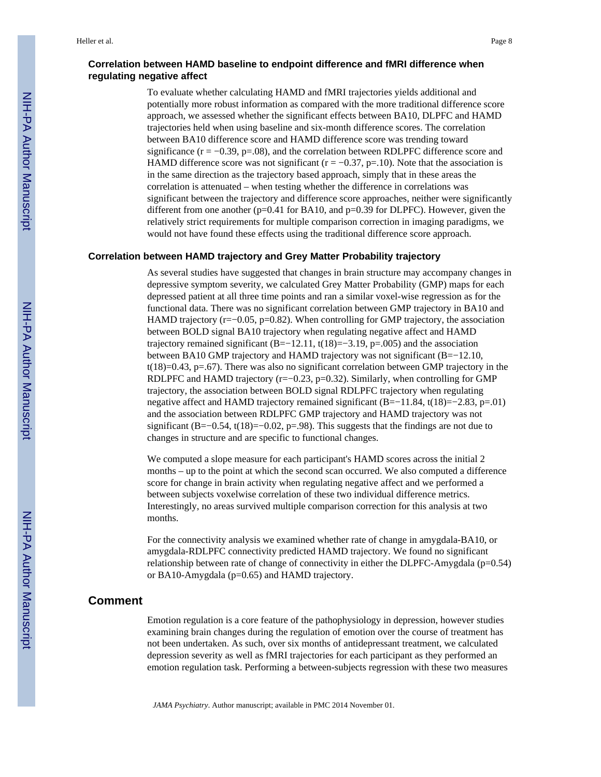## **Correlation between HAMD baseline to endpoint difference and fMRI difference when regulating negative affect**

To evaluate whether calculating HAMD and fMRI trajectories yields additional and potentially more robust information as compared with the more traditional difference score approach, we assessed whether the significant effects between BA10, DLPFC and HAMD trajectories held when using baseline and six-month difference scores. The correlation between BA10 difference score and HAMD difference score was trending toward significance  $(r = -0.39, p = .08)$ , and the correlation between RDLPFC difference score and HAMD difference score was not significant ( $r = -0.37$ ,  $p = 10$ ). Note that the association is in the same direction as the trajectory based approach, simply that in these areas the correlation is attenuated – when testing whether the difference in correlations was significant between the trajectory and difference score approaches, neither were significantly different from one another (p=0.41 for BA10, and p=0.39 for DLPFC). However, given the relatively strict requirements for multiple comparison correction in imaging paradigms, we would not have found these effects using the traditional difference score approach.

#### **Correlation between HAMD trajectory and Grey Matter Probability trajectory**

As several studies have suggested that changes in brain structure may accompany changes in depressive symptom severity, we calculated Grey Matter Probability (GMP) maps for each depressed patient at all three time points and ran a similar voxel-wise regression as for the functional data. There was no significant correlation between GMP trajectory in BA10 and HAMD trajectory  $(r=-0.05, p=0.82)$ . When controlling for GMP trajectory, the association between BOLD signal BA10 trajectory when regulating negative affect and HAMD trajectory remained significant (B=−12.11, t(18)=−3.19, p=.005) and the association between BA10 GMP trajectory and HAMD trajectory was not significant (B=−12.10,  $t(18)=0.43$ ,  $p=.67$ ). There was also no significant correlation between GMP trajectory in the RDLPFC and HAMD trajectory ( $r=-0.23$ ,  $p=0.32$ ). Similarly, when controlling for GMP trajectory, the association between BOLD signal RDLPFC trajectory when regulating negative affect and HAMD trajectory remained significant (B=−11.84, t(18)=−2.83, p=.01) and the association between RDLPFC GMP trajectory and HAMD trajectory was not significant (B=−0.54, t(18)=−0.02, p=.98). This suggests that the findings are not due to changes in structure and are specific to functional changes.

We computed a slope measure for each participant's HAMD scores across the initial 2 months – up to the point at which the second scan occurred. We also computed a difference score for change in brain activity when regulating negative affect and we performed a between subjects voxelwise correlation of these two individual difference metrics. Interestingly, no areas survived multiple comparison correction for this analysis at two months.

For the connectivity analysis we examined whether rate of change in amygdala-BA10, or amygdala-RDLPFC connectivity predicted HAMD trajectory. We found no significant relationship between rate of change of connectivity in either the DLPFC-Amygdala ( $p=0.54$ ) or BA10-Amygdala (p=0.65) and HAMD trajectory.

## **Comment**

Emotion regulation is a core feature of the pathophysiology in depression, however studies examining brain changes during the regulation of emotion over the course of treatment has not been undertaken. As such, over six months of antidepressant treatment, we calculated depression severity as well as fMRI trajectories for each participant as they performed an emotion regulation task. Performing a between-subjects regression with these two measures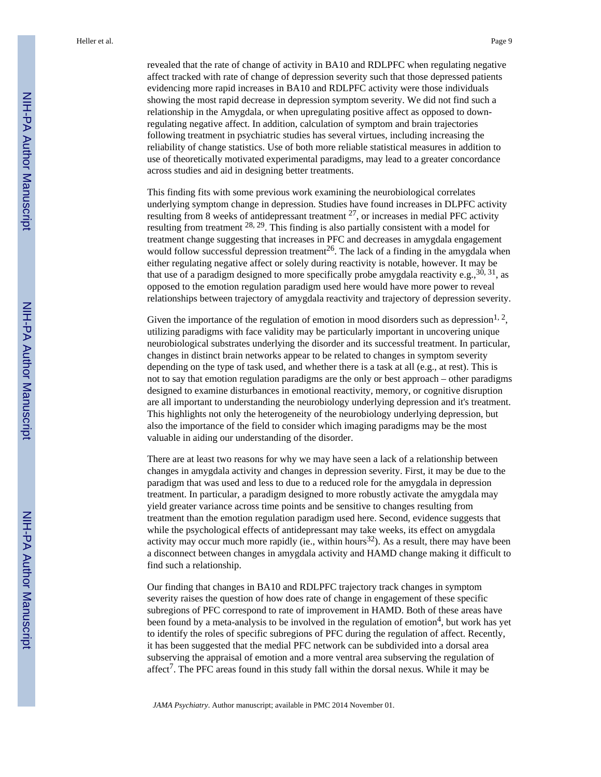revealed that the rate of change of activity in BA10 and RDLPFC when regulating negative affect tracked with rate of change of depression severity such that those depressed patients evidencing more rapid increases in BA10 and RDLPFC activity were those individuals showing the most rapid decrease in depression symptom severity. We did not find such a relationship in the Amygdala, or when upregulating positive affect as opposed to downregulating negative affect. In addition, calculation of symptom and brain trajectories following treatment in psychiatric studies has several virtues, including increasing the reliability of change statistics. Use of both more reliable statistical measures in addition to use of theoretically motivated experimental paradigms, may lead to a greater concordance across studies and aid in designing better treatments.

This finding fits with some previous work examining the neurobiological correlates underlying symptom change in depression. Studies have found increases in DLPFC activity resulting from 8 weeks of antidepressant treatment  $^{27}$ , or increases in medial PFC activity resulting from treatment 28, 29. This finding is also partially consistent with a model for treatment change suggesting that increases in PFC and decreases in amygdala engagement would follow successful depression treatment<sup>26</sup>. The lack of a finding in the amygdala when either regulating negative affect or solely during reactivity is notable, however. It may be that use of a paradigm designed to more specifically probe amygdala reactivity e.g.,  $30, 31$ , as opposed to the emotion regulation paradigm used here would have more power to reveal relationships between trajectory of amygdala reactivity and trajectory of depression severity.

Given the importance of the regulation of emotion in mood disorders such as depression<sup>1, 2</sup>, utilizing paradigms with face validity may be particularly important in uncovering unique neurobiological substrates underlying the disorder and its successful treatment. In particular, changes in distinct brain networks appear to be related to changes in symptom severity depending on the type of task used, and whether there is a task at all (e.g., at rest). This is not to say that emotion regulation paradigms are the only or best approach – other paradigms designed to examine disturbances in emotional reactivity, memory, or cognitive disruption are all important to understanding the neurobiology underlying depression and it's treatment. This highlights not only the heterogeneity of the neurobiology underlying depression, but also the importance of the field to consider which imaging paradigms may be the most valuable in aiding our understanding of the disorder.

There are at least two reasons for why we may have seen a lack of a relationship between changes in amygdala activity and changes in depression severity. First, it may be due to the paradigm that was used and less to due to a reduced role for the amygdala in depression treatment. In particular, a paradigm designed to more robustly activate the amygdala may yield greater variance across time points and be sensitive to changes resulting from treatment than the emotion regulation paradigm used here. Second, evidence suggests that while the psychological effects of antidepressant may take weeks, its effect on amygdala activity may occur much more rapidly (ie., within hours<sup>32</sup>). As a result, there may have been a disconnect between changes in amygdala activity and HAMD change making it difficult to find such a relationship.

Our finding that changes in BA10 and RDLPFC trajectory track changes in symptom severity raises the question of how does rate of change in engagement of these specific subregions of PFC correspond to rate of improvement in HAMD. Both of these areas have been found by a meta-analysis to be involved in the regulation of emotion<sup>4</sup>, but work has yet to identify the roles of specific subregions of PFC during the regulation of affect. Recently, it has been suggested that the medial PFC network can be subdivided into a dorsal area subserving the appraisal of emotion and a more ventral area subserving the regulation of affect<sup>7</sup>. The PFC areas found in this study fall within the dorsal nexus. While it may be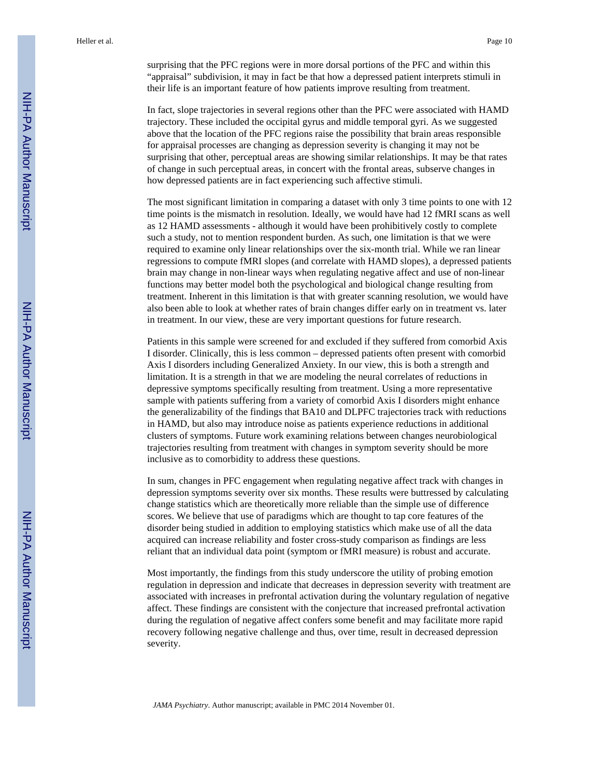surprising that the PFC regions were in more dorsal portions of the PFC and within this "appraisal" subdivision, it may in fact be that how a depressed patient interprets stimuli in their life is an important feature of how patients improve resulting from treatment.

In fact, slope trajectories in several regions other than the PFC were associated with HAMD trajectory. These included the occipital gyrus and middle temporal gyri. As we suggested above that the location of the PFC regions raise the possibility that brain areas responsible for appraisal processes are changing as depression severity is changing it may not be surprising that other, perceptual areas are showing similar relationships. It may be that rates of change in such perceptual areas, in concert with the frontal areas, subserve changes in how depressed patients are in fact experiencing such affective stimuli.

The most significant limitation in comparing a dataset with only 3 time points to one with 12 time points is the mismatch in resolution. Ideally, we would have had 12 fMRI scans as well as 12 HAMD assessments - although it would have been prohibitively costly to complete such a study, not to mention respondent burden. As such, one limitation is that we were required to examine only linear relationships over the six-month trial. While we ran linear regressions to compute fMRI slopes (and correlate with HAMD slopes), a depressed patients brain may change in non-linear ways when regulating negative affect and use of non-linear functions may better model both the psychological and biological change resulting from treatment. Inherent in this limitation is that with greater scanning resolution, we would have also been able to look at whether rates of brain changes differ early on in treatment vs. later in treatment. In our view, these are very important questions for future research.

Patients in this sample were screened for and excluded if they suffered from comorbid Axis I disorder. Clinically, this is less common – depressed patients often present with comorbid Axis I disorders including Generalized Anxiety. In our view, this is both a strength and limitation. It is a strength in that we are modeling the neural correlates of reductions in depressive symptoms specifically resulting from treatment. Using a more representative sample with patients suffering from a variety of comorbid Axis I disorders might enhance the generalizability of the findings that BA10 and DLPFC trajectories track with reductions in HAMD, but also may introduce noise as patients experience reductions in additional clusters of symptoms. Future work examining relations between changes neurobiological trajectories resulting from treatment with changes in symptom severity should be more inclusive as to comorbidity to address these questions.

In sum, changes in PFC engagement when regulating negative affect track with changes in depression symptoms severity over six months. These results were buttressed by calculating change statistics which are theoretically more reliable than the simple use of difference scores. We believe that use of paradigms which are thought to tap core features of the disorder being studied in addition to employing statistics which make use of all the data acquired can increase reliability and foster cross-study comparison as findings are less reliant that an individual data point (symptom or fMRI measure) is robust and accurate.

Most importantly, the findings from this study underscore the utility of probing emotion regulation in depression and indicate that decreases in depression severity with treatment are associated with increases in prefrontal activation during the voluntary regulation of negative affect. These findings are consistent with the conjecture that increased prefrontal activation during the regulation of negative affect confers some benefit and may facilitate more rapid recovery following negative challenge and thus, over time, result in decreased depression severity.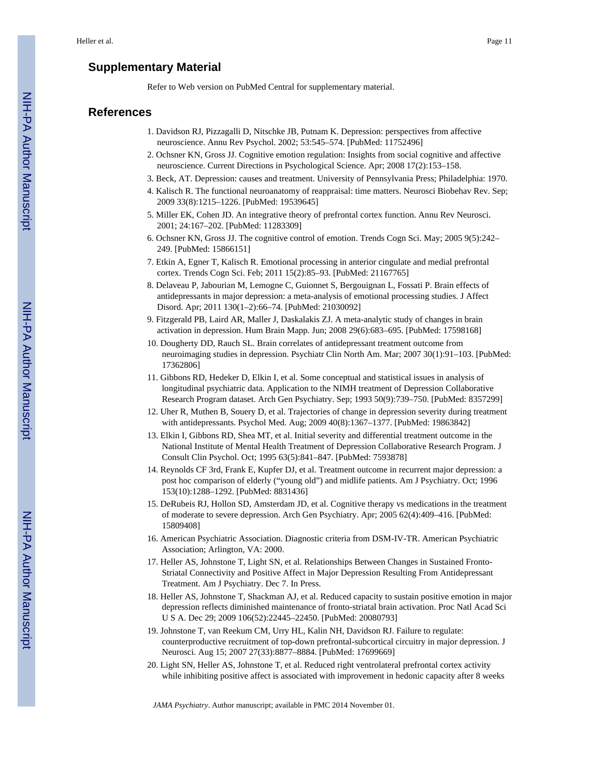## **Supplementary Material**

Refer to Web version on PubMed Central for supplementary material.

## **References**

- 1. Davidson RJ, Pizzagalli D, Nitschke JB, Putnam K. Depression: perspectives from affective neuroscience. Annu Rev Psychol. 2002; 53:545–574. [PubMed: 11752496]
- 2. Ochsner KN, Gross JJ. Cognitive emotion regulation: Insights from social cognitive and affective neuroscience. Current Directions in Psychological Science. Apr; 2008 17(2):153–158.
- 3. Beck, AT. Depression: causes and treatment. University of Pennsylvania Press; Philadelphia: 1970.
- 4. Kalisch R. The functional neuroanatomy of reappraisal: time matters. Neurosci Biobehav Rev. Sep; 2009 33(8):1215–1226. [PubMed: 19539645]
- 5. Miller EK, Cohen JD. An integrative theory of prefrontal cortex function. Annu Rev Neurosci. 2001; 24:167–202. [PubMed: 11283309]
- 6. Ochsner KN, Gross JJ. The cognitive control of emotion. Trends Cogn Sci. May; 2005 9(5):242– 249. [PubMed: 15866151]
- 7. Etkin A, Egner T, Kalisch R. Emotional processing in anterior cingulate and medial prefrontal cortex. Trends Cogn Sci. Feb; 2011 15(2):85–93. [PubMed: 21167765]
- 8. Delaveau P, Jabourian M, Lemogne C, Guionnet S, Bergouignan L, Fossati P. Brain effects of antidepressants in major depression: a meta-analysis of emotional processing studies. J Affect Disord. Apr; 2011 130(1–2):66–74. [PubMed: 21030092]
- 9. Fitzgerald PB, Laird AR, Maller J, Daskalakis ZJ. A meta-analytic study of changes in brain activation in depression. Hum Brain Mapp. Jun; 2008 29(6):683–695. [PubMed: 17598168]
- 10. Dougherty DD, Rauch SL. Brain correlates of antidepressant treatment outcome from neuroimaging studies in depression. Psychiatr Clin North Am. Mar; 2007 30(1):91–103. [PubMed: 17362806]
- 11. Gibbons RD, Hedeker D, Elkin I, et al. Some conceptual and statistical issues in analysis of longitudinal psychiatric data. Application to the NIMH treatment of Depression Collaborative Research Program dataset. Arch Gen Psychiatry. Sep; 1993 50(9):739–750. [PubMed: 8357299]
- 12. Uher R, Muthen B, Souery D, et al. Trajectories of change in depression severity during treatment with antidepressants. Psychol Med. Aug; 2009 40(8):1367–1377. [PubMed: 19863842]
- 13. Elkin I, Gibbons RD, Shea MT, et al. Initial severity and differential treatment outcome in the National Institute of Mental Health Treatment of Depression Collaborative Research Program. J Consult Clin Psychol. Oct; 1995 63(5):841–847. [PubMed: 7593878]
- 14. Reynolds CF 3rd, Frank E, Kupfer DJ, et al. Treatment outcome in recurrent major depression: a post hoc comparison of elderly ("young old") and midlife patients. Am J Psychiatry. Oct; 1996 153(10):1288–1292. [PubMed: 8831436]
- 15. DeRubeis RJ, Hollon SD, Amsterdam JD, et al. Cognitive therapy vs medications in the treatment of moderate to severe depression. Arch Gen Psychiatry. Apr; 2005 62(4):409–416. [PubMed: 15809408]
- 16. American Psychiatric Association. Diagnostic criteria from DSM-IV-TR. American Psychiatric Association; Arlington, VA: 2000.
- 17. Heller AS, Johnstone T, Light SN, et al. Relationships Between Changes in Sustained Fronto-Striatal Connectivity and Positive Affect in Major Depression Resulting From Antidepressant Treatment. Am J Psychiatry. Dec 7. In Press.
- 18. Heller AS, Johnstone T, Shackman AJ, et al. Reduced capacity to sustain positive emotion in major depression reflects diminished maintenance of fronto-striatal brain activation. Proc Natl Acad Sci U S A. Dec 29; 2009 106(52):22445–22450. [PubMed: 20080793]
- 19. Johnstone T, van Reekum CM, Urry HL, Kalin NH, Davidson RJ. Failure to regulate: counterproductive recruitment of top-down prefrontal-subcortical circuitry in major depression. J Neurosci. Aug 15; 2007 27(33):8877–8884. [PubMed: 17699669]
- 20. Light SN, Heller AS, Johnstone T, et al. Reduced right ventrolateral prefrontal cortex activity while inhibiting positive affect is associated with improvement in hedonic capacity after 8 weeks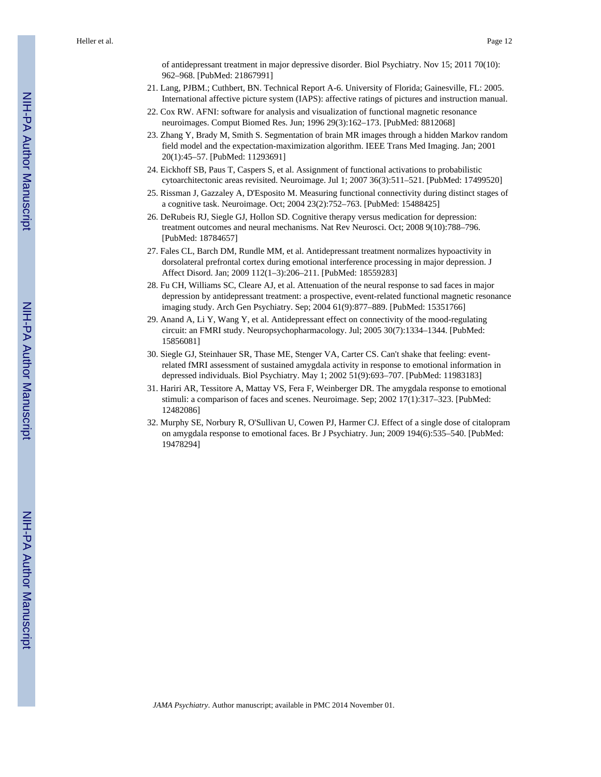of antidepressant treatment in major depressive disorder. Biol Psychiatry. Nov 15; 2011 70(10): 962–968. [PubMed: 21867991]

- 21. Lang, PJBM.; Cuthbert, BN. Technical Report A-6. University of Florida; Gainesville, FL: 2005. International affective picture system (IAPS): affective ratings of pictures and instruction manual.
- 22. Cox RW. AFNI: software for analysis and visualization of functional magnetic resonance neuroimages. Comput Biomed Res. Jun; 1996 29(3):162–173. [PubMed: 8812068]
- 23. Zhang Y, Brady M, Smith S. Segmentation of brain MR images through a hidden Markov random field model and the expectation-maximization algorithm. IEEE Trans Med Imaging. Jan; 2001 20(1):45–57. [PubMed: 11293691]
- 24. Eickhoff SB, Paus T, Caspers S, et al. Assignment of functional activations to probabilistic cytoarchitectonic areas revisited. Neuroimage. Jul 1; 2007 36(3):511–521. [PubMed: 17499520]
- 25. Rissman J, Gazzaley A, D'Esposito M. Measuring functional connectivity during distinct stages of a cognitive task. Neuroimage. Oct; 2004 23(2):752–763. [PubMed: 15488425]
- 26. DeRubeis RJ, Siegle GJ, Hollon SD. Cognitive therapy versus medication for depression: treatment outcomes and neural mechanisms. Nat Rev Neurosci. Oct; 2008 9(10):788–796. [PubMed: 18784657]
- 27. Fales CL, Barch DM, Rundle MM, et al. Antidepressant treatment normalizes hypoactivity in dorsolateral prefrontal cortex during emotional interference processing in major depression. J Affect Disord. Jan; 2009 112(1–3):206–211. [PubMed: 18559283]
- 28. Fu CH, Williams SC, Cleare AJ, et al. Attenuation of the neural response to sad faces in major depression by antidepressant treatment: a prospective, event-related functional magnetic resonance imaging study. Arch Gen Psychiatry. Sep; 2004 61(9):877–889. [PubMed: 15351766]
- 29. Anand A, Li Y, Wang Y, et al. Antidepressant effect on connectivity of the mood-regulating circuit: an FMRI study. Neuropsychopharmacology. Jul; 2005 30(7):1334–1344. [PubMed: 15856081]
- 30. Siegle GJ, Steinhauer SR, Thase ME, Stenger VA, Carter CS. Can't shake that feeling: eventrelated fMRI assessment of sustained amygdala activity in response to emotional information in depressed individuals. Biol Psychiatry. May 1; 2002 51(9):693–707. [PubMed: 11983183]
- 31. Hariri AR, Tessitore A, Mattay VS, Fera F, Weinberger DR. The amygdala response to emotional stimuli: a comparison of faces and scenes. Neuroimage. Sep; 2002 17(1):317–323. [PubMed: 12482086]
- 32. Murphy SE, Norbury R, O'Sullivan U, Cowen PJ, Harmer CJ. Effect of a single dose of citalopram on amygdala response to emotional faces. Br J Psychiatry. Jun; 2009 194(6):535–540. [PubMed: 19478294]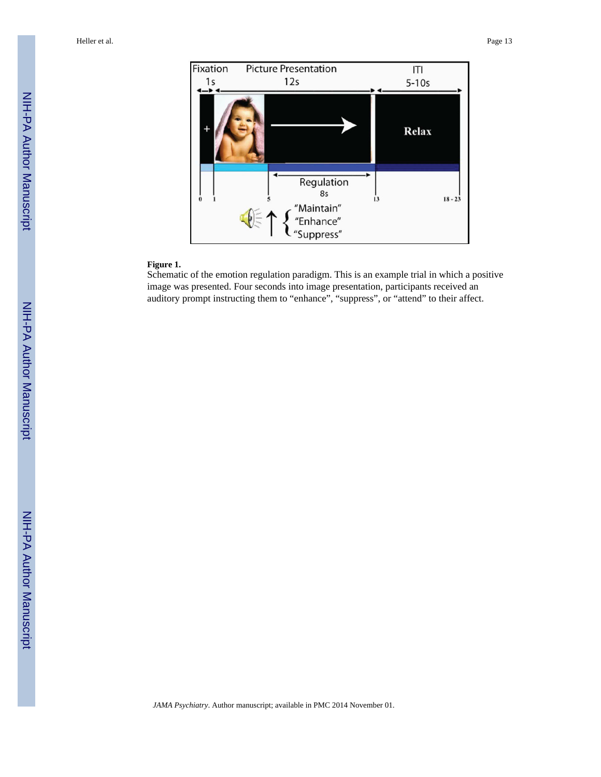

## **Figure 1.**

Schematic of the emotion regulation paradigm. This is an example trial in which a positive image was presented. Four seconds into image presentation, participants received an auditory prompt instructing them to "enhance", "suppress", or "attend" to their affect.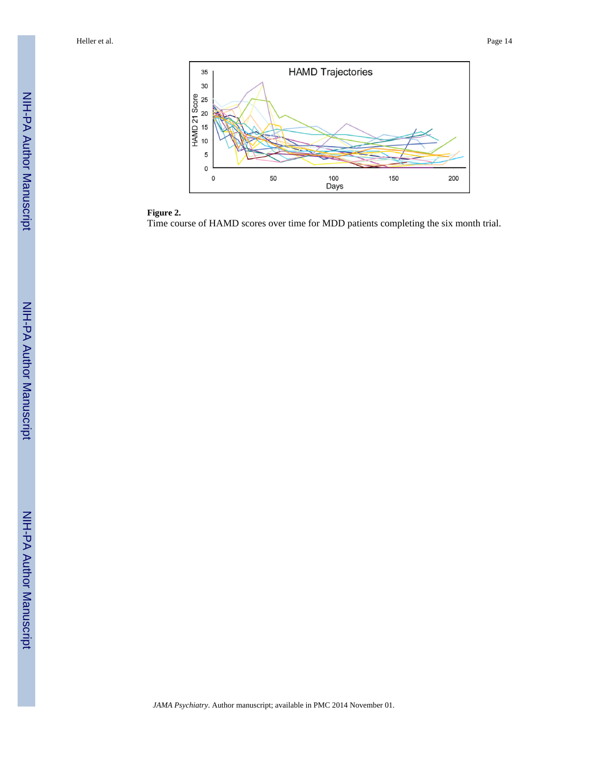



Time course of HAMD scores over time for MDD patients completing the six month trial.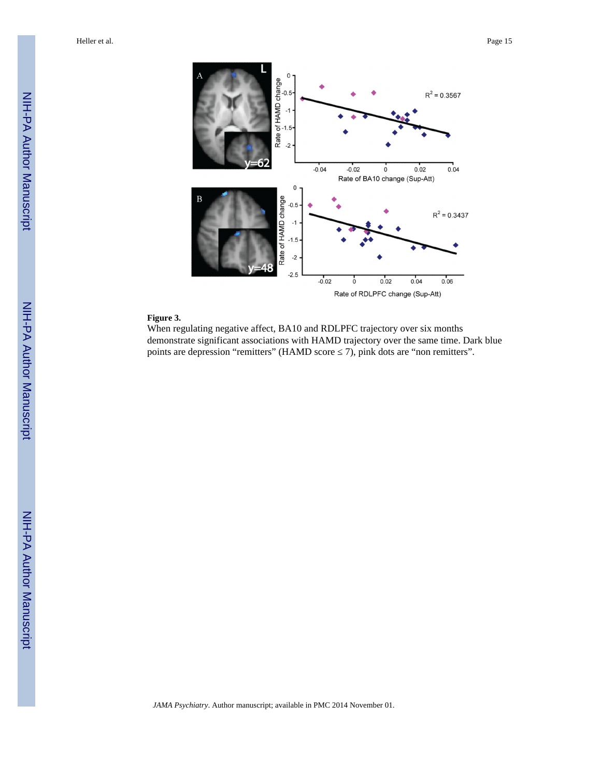

#### **Figure 3.**

When regulating negative affect, BA10 and RDLPFC trajectory over six months demonstrate significant associations with HAMD trajectory over the same time. Dark blue points are depression "remitters" (HAMD score  $\,$  7), pink dots are "non remitters".